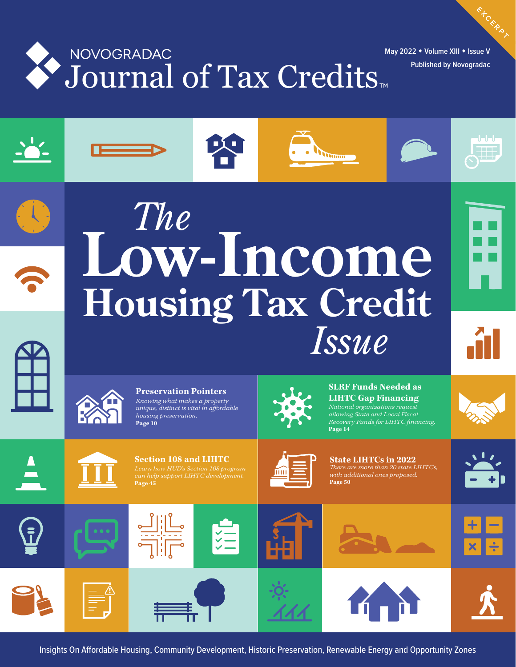

**May 2022 Volume XIII Issue V Published by Novogradac**





# **Housing Tax Credit** *The Issue* **Low-Income**

**EXCERPT** 





**Preservation Pointers** *Knowing what makes a property unique, distinct is vital in affordable housing preservation.* **Page 10**



**Drumm** 

**SLRF Funds Needed as LIHTC Gap Financing** *National organizations request allowing State and Local Fiscal*   $Recovery$  *Funds for LIHTC financing.* **Page 14**









**State LIHTCs in 2022** *ere are more than 20 state LIHTCs, with additional ones proposed.*  **Page 50**





















Insights On Affordable Housing, Community Development, Historic Preservation, Renewable Energy and Opportunity Zones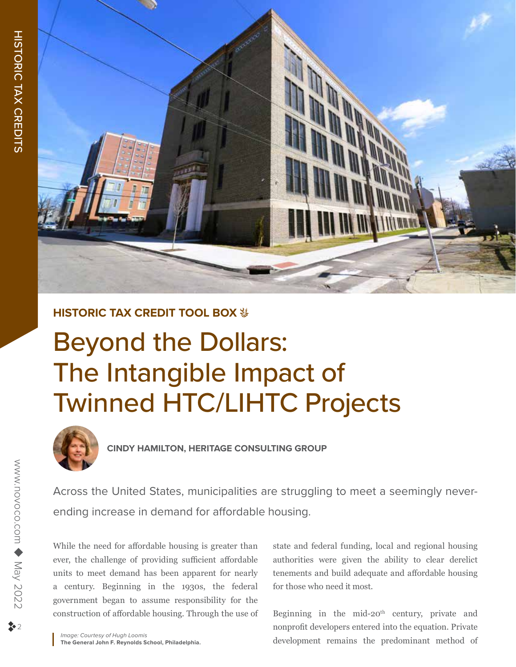

## **HISTORIC TAX CREDIT TOOL BOX**  $\frac{16}{26}$

## Beyond the Dollars: The Intangible Impact of Twinned HTC/LIHTC Projects



**CINDY HAMILTON, HERITAGE CONSULTING GROUP**

Across the United States, municipalities are struggling to meet a seemingly neverending increase in demand for affordable housing.

While the need for affordable housing is greater than ever, the challenge of providing sufficient affordable units to meet demand has been apparent for nearly a century. Beginning in the 1930s, the federal government began to assume responsibility for the construction of affordable housing. Through the use of state and federal funding, local and regional housing authorities were given the ability to clear derelict tenements and build adequate and affordable housing for those who need it most.

Beginning in the mid-20<sup>th</sup> century, private and nonprofit developers entered into the equation. Private development remains the predominant method of

*Image: Courtesy of Hugh Loomis* **The General John F. Reynolds School, Philadelphia.**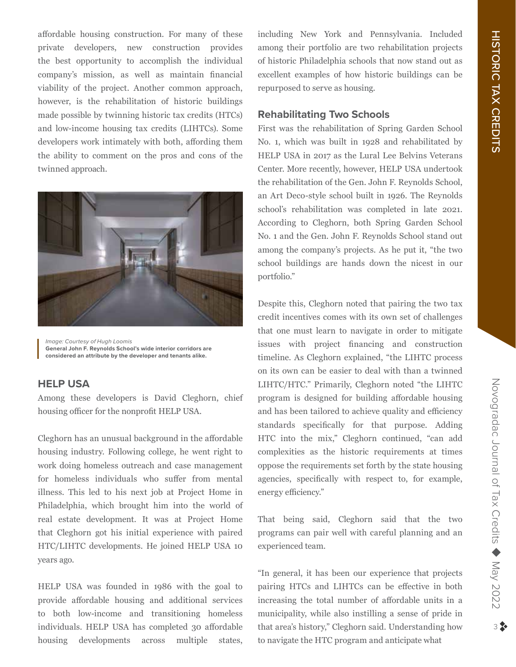affordable housing construction. For many of these private developers, new construction provides the best opportunity to accomplish the individual company's mission, as well as maintain financial viability of the project. Another common approach, however, is the rehabilitation of historic buildings made possible by twinning historic tax credits (HTCs) and low-income housing tax credits (LIHTCs). Some developers work intimately with both, affording them the ability to comment on the pros and cons of the twinned approach.



*Image: Courtesy of Hugh Loomis* **General John F. Reynolds School's wide interior corridors are considered an attribute by the developer and tenants alike.**

## **HELP USA**

Among these developers is David Cleghorn, chief housing officer for the nonprofit HELP USA.

Cleghorn has an unusual background in the affordable housing industry. Following college, he went right to work doing homeless outreach and case management for homeless individuals who suffer from mental illness. This led to his next job at Project Home in Philadelphia, which brought him into the world of real estate development. It was at Project Home that Cleghorn got his initial experience with paired HTC/LIHTC developments. He joined HELP USA 10 years ago.

HELP USA was founded in 1986 with the goal to provide affordable housing and additional services to both low-income and transitioning homeless individuals. HELP USA has completed 30 affordable housing developments across multiple states,

including New York and Pennsylvania. Included among their portfolio are two rehabilitation projects of historic Philadelphia schools that now stand out as excellent examples of how historic buildings can be repurposed to serve as housing.

## **Rehabilitating Two Schools**

First was the rehabilitation of Spring Garden School No. 1, which was built in 1928 and rehabilitated by HELP USA in 2017 as the Lural Lee Belvins Veterans Center. More recently, however, HELP USA undertook the rehabilitation of the Gen. John F. Reynolds School, an Art Deco-style school built in 1926. The Reynolds school's rehabilitation was completed in late 2021. According to Cleghorn, both Spring Garden School No. 1 and the Gen. John F. Reynolds School stand out among the company's projects. As he put it, "the two school buildings are hands down the nicest in our portfolio."

Despite this, Cleghorn noted that pairing the two tax credit incentives comes with its own set of challenges that one must learn to navigate in order to mitigate issues with project financing and construction timeline. As Cleghorn explained, "the LIHTC process on its own can be easier to deal with than a twinned LIHTC/HTC." Primarily, Cleghorn noted "the LIHTC program is designed for building affordable housing and has been tailored to achieve quality and efficiency standards specifically for that purpose. Adding HTC into the mix," Cleghorn continued, "can add complexities as the historic requirements at times oppose the requirements set forth by the state housing agencies, specifically with respect to, for example, energy efficiency."

That being said, Cleghorn said that the two programs can pair well with careful planning and an experienced team.

"In general, it has been our experience that projects pairing HTCs and LIHTCs can be effective in both increasing the total number of affordable units in a municipality, while also instilling a sense of pride in that area's history," Cleghorn said. Understanding how to navigate the HTC program and anticipate what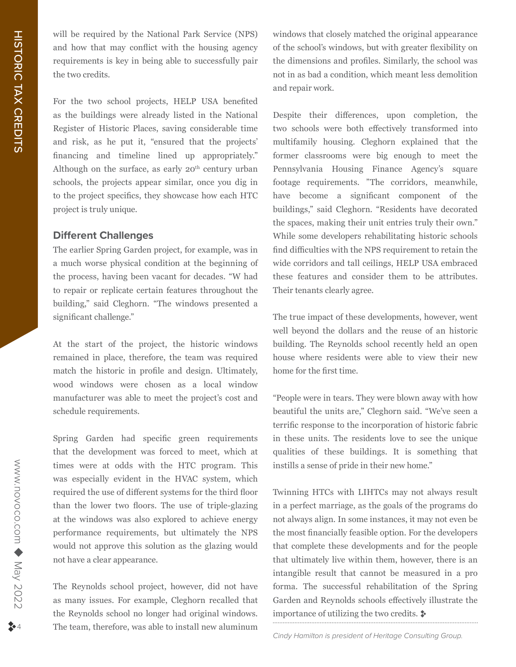will be required by the National Park Service (NPS) and how that may conflict with the housing agency requirements is key in being able to successfully pair the two credits.

For the two school projects, HELP USA benefited as the buildings were already listed in the National Register of Historic Places, saving considerable time and risk, as he put it, "ensured that the projects' financing and timeline lined up appropriately." Although on the surface, as early  $20<sup>th</sup>$  century urban schools, the projects appear similar, once you dig in to the project specifics, they showcase how each HTC project is truly unique.

## **Different Challenges**

The earlier Spring Garden project, for example, was in a much worse physical condition at the beginning of the process, having been vacant for decades. "W had to repair or replicate certain features throughout the building," said Cleghorn. "The windows presented a significant challenge."

At the start of the project, the historic windows remained in place, therefore, the team was required match the historic in profile and design. Ultimately, wood windows were chosen as a local window manufacturer was able to meet the project's cost and schedule requirements.

Spring Garden had specific green requirements that the development was forced to meet, which at times were at odds with the HTC program. This was especially evident in the HVAC system, which required the use of different systems for the third floor than the lower two floors. The use of triple-glazing at the windows was also explored to achieve energy performance requirements, but ultimately the NPS would not approve this solution as the glazing would not have a clear appearance.

The Reynolds school project, however, did not have as many issues. For example, Cleghorn recalled that the Reynolds school no longer had original windows. The team, therefore, was able to install new aluminum

windows that closely matched the original appearance of the school's windows, but with greater flexibility on the dimensions and profiles. Similarly, the school was not in as bad a condition, which meant less demolition and repair work.

Despite their differences, upon completion, the two schools were both effectively transformed into multifamily housing. Cleghorn explained that the former classrooms were big enough to meet the Pennsylvania Housing Finance Agency's square footage requirements. "The corridors, meanwhile, have become a significant component of the buildings," said Cleghorn. "Residents have decorated the spaces, making their unit entries truly their own." While some developers rehabilitating historic schools find difficulties with the NPS requirement to retain the wide corridors and tall ceilings, HELP USA embraced these features and consider them to be attributes. Their tenants clearly agree.

The true impact of these developments, however, went well beyond the dollars and the reuse of an historic building. The Reynolds school recently held an open house where residents were able to view their new home for the first time.

"People were in tears. They were blown away with how beautiful the units are," Cleghorn said. "We've seen a terrific response to the incorporation of historic fabric in these units. The residents love to see the unique qualities of these buildings. It is something that instills a sense of pride in their new home."

Twinning HTCs with LIHTCs may not always result in a perfect marriage, as the goals of the programs do not always align. In some instances, it may not even be the most financially feasible option. For the developers that complete these developments and for the people that ultimately live within them, however, there is an intangible result that cannot be measured in a pro forma. The successful rehabilitation of the Spring Garden and Reynolds schools effectively illustrate the importance of utilizing the two credits.  $\ddot{\bullet}$ 

*Cindy Hamilton is president of Heritage Consulting Group.*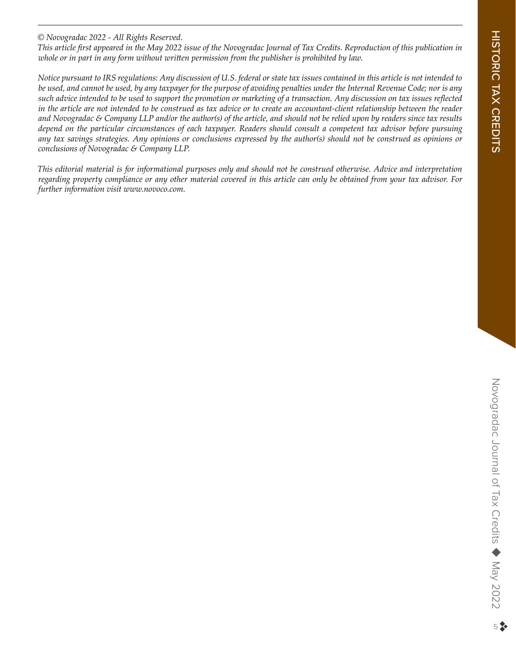## *© Novogradac 2022 - All Rights Reserved.*

*This article first appeared in the May 2022 issue of the Novogradac Journal of Tax Credits. Reproduction of this publication in whole or in part in any form without written permission from the publisher is prohibited by law.*

*Notice pursuant to IRS regulations: Any discussion of U.S. federal or state tax issues contained in this article is not intended to be used, and cannot be used, by any taxpayer for the purpose of avoiding penalties under the Internal Revenue Code; nor is any such advice intended to be used to support the promotion or marketing of a transaction. Any discussion on tax issues reflected in the article are not intended to be construed as tax advice or to create an accountant-client relationship between the reader and Novogradac & Company LLP and/or the author(s) of the article, and should not be relied upon by readers since tax results depend on the particular circumstances of each taxpayer. Readers should consult a competent tax advisor before pursuing any tax savings strategies. Any opinions or conclusions expressed by the author(s) should not be construed as opinions or conclusions of Novogradac & Company LLP.* 

*This editorial material is for informational purposes only and should not be construed otherwise. Advice and interpretation regarding property compliance or any other material covered in this article can only be obtained from your tax advisor. For further information visit www.novoco.com.*